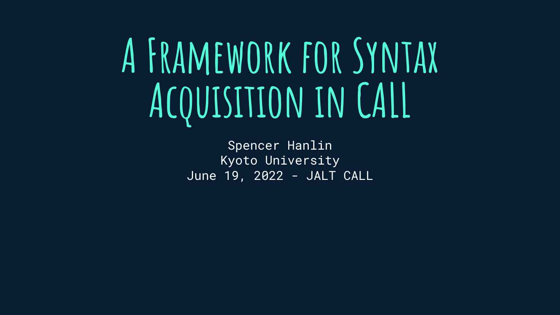# **A Framework for Syntax Acquisition in CALL**

Spencer Hanlin Kyoto University June 19, 2022 - JALT CALL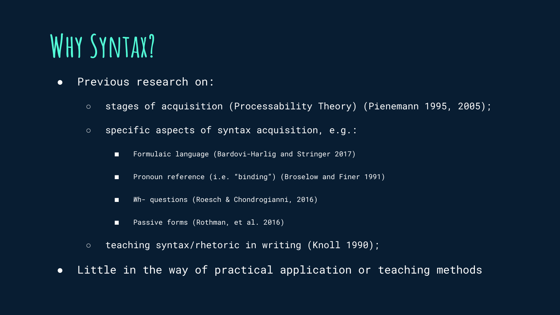# **Why Syntax?**

- Previous research on:
	- stages of acquisition (Processability Theory) (Pienemann 1995, 2005);
	- specific aspects of syntax acquisition, e.g.:
		- Formulaic language (Bardovi-Harlig and Stringer 2017)
		- Pronoun reference (i.e. "binding") (Broselow and Finer 1991)
		- *Wh* questions (Roesch & Chondrogianni, 2016)
		- Passive forms (Rothman, et al. 2016)
	- teaching syntax/rhetoric in writing (Knoll 1990);
- Little in the way of practical application or teaching methods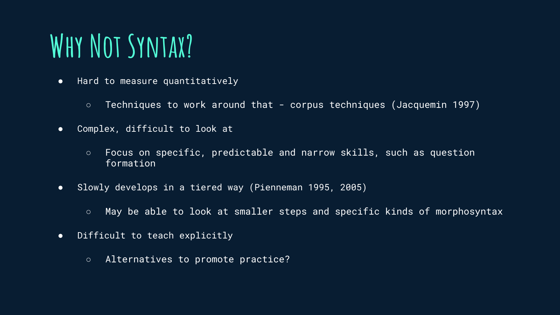# **Why Not Syntax?**

- Hard to measure quantitatively
	- Techniques to work around that corpus techniques (Jacquemin 1997)
- Complex, difficult to look at
	- Focus on specific, predictable and narrow skills, such as question formation
- Slowly develops in a tiered way (Pienneman 1995, 2005)
	- May be able to look at smaller steps and specific kinds of morphosyntax
- Difficult to teach explicitly
	- Alternatives to promote practice?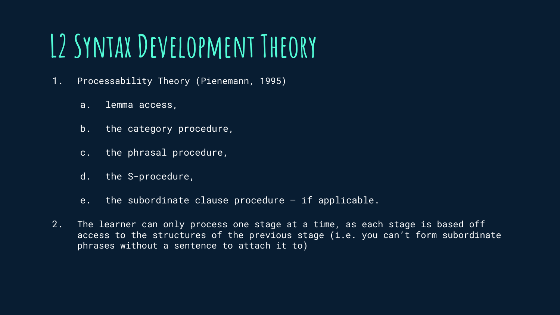# **L2 Syntax Development Theory**

- 1. Processability Theory (Pienemann, 1995)
	- a. lemma access,
	- b. the category procedure,
	- c. the phrasal procedure,
	- d. the S-procedure,
	- e. the subordinate clause procedure if applicable.
- 2. The learner can only process one stage at a time, as each stage is based off access to the structures of the previous stage (i.e. you can't form subordinate phrases without a sentence to attach it to)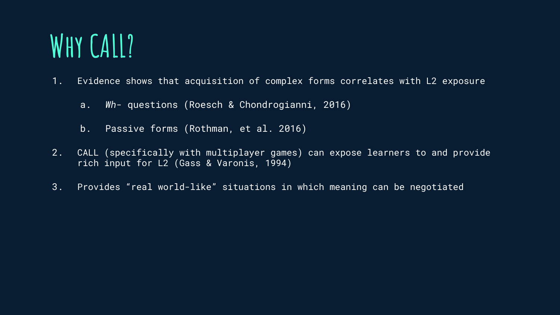#### **Why CALL?**

1. Evidence shows that acquisition of complex forms correlates with L2 exposure

- a. *Wh* questions (Roesch & Chondrogianni, 2016)
- b. Passive forms (Rothman, et al. 2016)
- 2. CALL (specifically with multiplayer games) can expose learners to and provide rich input for L2 (Gass & Varonis, 1994)
- 3. Provides "real world-like" situations in which meaning can be negotiated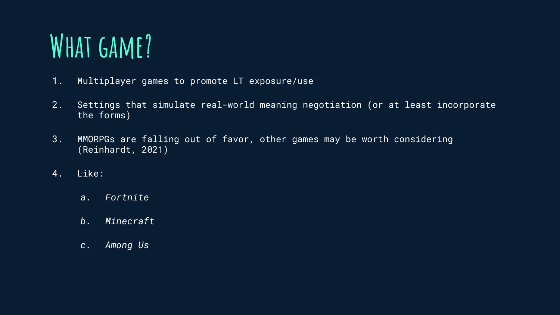# **What game?**

- 1. Multiplayer games to promote LT exposure/use
- 2. Settings that simulate real-world meaning negotiation (or at least incorporate the forms)
- 3. MMORPGs are falling out of favor, other games may be worth considering (Reinhardt, 2021)
- 4. Like:
	- *a. Fortnite*
	- *b. Minecraft*
	- *c. Among Us*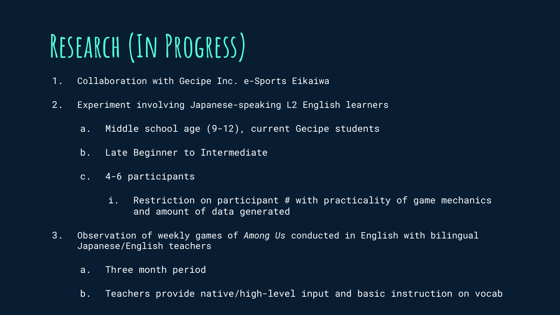# **Research (In Progress)**

- 1. Collaboration with Gecipe Inc. e-Sports Eikaiwa
- 2. Experiment involving Japanese-speaking L2 English learners
	- a. Middle school age (9-12), current Gecipe students
	- b. Late Beginner to Intermediate
	- c. 4-6 participants
		- i. Restriction on participant # with practicality of game mechanics and amount of data generated
- 3. Observation of weekly games of *Among Us* conducted in English with bilingual Japanese/English teachers
	- a. Three month period
	- b. Teachers provide native/high-level input and basic instruction on vocab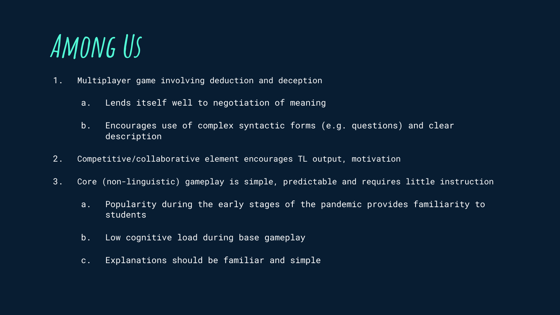#### **Among Us**

- 1. Multiplayer game involving deduction and deception
	- a. Lends itself well to negotiation of meaning
	- b. Encourages use of complex syntactic forms (e.g. questions) and clear description
- 2. Competitive/collaborative element encourages TL output, motivation
- 3. Core (non-linguistic) gameplay is simple, predictable and requires little instruction
	- a. Popularity during the early stages of the pandemic provides familiarity to students
	- b. Low cognitive load during base gameplay
	- c. Explanations should be familiar and simple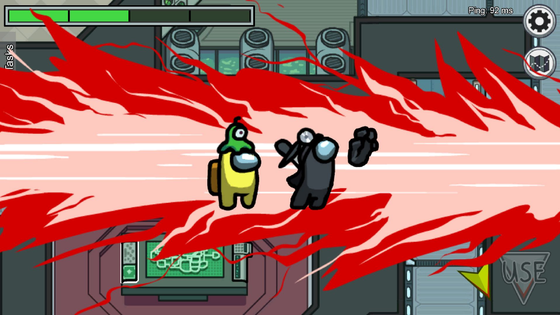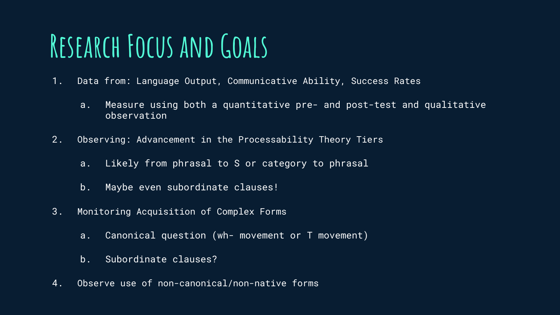# **Research Focus and Goals**

- 1. Data from: Language Output, Communicative Ability, Success Rates
	- a. Measure using both a quantitative pre- and post-test and qualitative observation
- 2. Observing: Advancement in the Processability Theory Tiers
	- a. Likely from phrasal to S or category to phrasal
	- b. Maybe even subordinate clauses!
- 3. Monitoring Acquisition of Complex Forms
	- a. Canonical question (wh- movement or T movement)
	- b. Subordinate clauses?
- 4. Observe use of non-canonical/non-native forms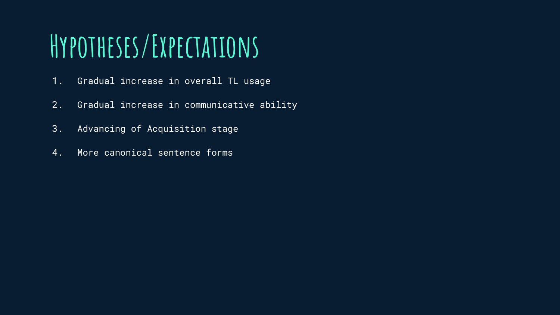# **Hypotheses/Expectations**

- 1. Gradual increase in overall TL usage
- 2. Gradual increase in communicative ability
- 3. Advancing of Acquisition stage
- 4. More canonical sentence forms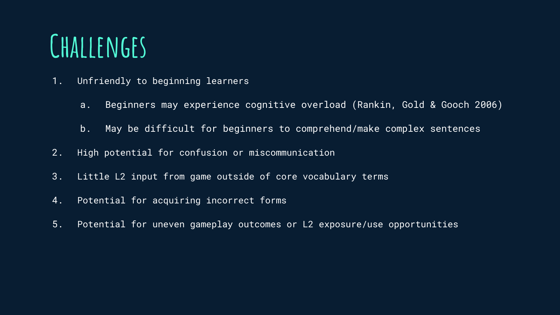#### **Challenges**

- 1. Unfriendly to beginning learners
	- a. Beginners may experience cognitive overload (Rankin, Gold & Gooch 2006)
	- b. May be difficult for beginners to comprehend/make complex sentences
- 2. High potential for confusion or miscommunication
- 3. Little L2 input from game outside of core vocabulary terms
- 4. Potential for acquiring incorrect forms
- 5. Potential for uneven gameplay outcomes or L2 exposure/use opportunities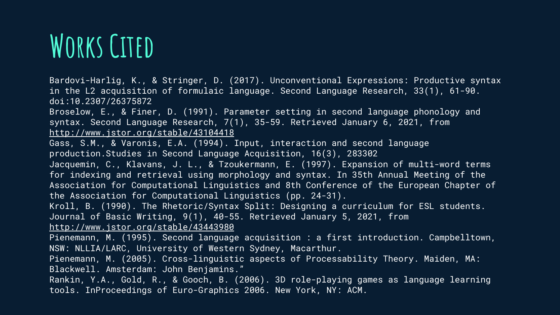# **Works Cited**

Bardovi-Harlig, K., & Stringer, D. (2017). Unconventional Expressions: Productive syntax in the L2 acquisition of formulaic language. Second Language Research, 33(1), 61-90. doi:10.2307/26375872

Broselow, E., & Finer, D. (1991). Parameter setting in second language phonology and syntax. Second Language Research, 7(1), 35-59. Retrieved January 6, 2021, from <http://www.jstor.org/stable/43104418>

Gass, S.M., & Varonis, E.A. (1994). Input, interaction and second language production.Studies in Second Language Acquisition, 16(3), 283302

Jacquemin, C., Klavans, J. L., & Tzoukermann, E. (1997). Expansion of multi-word terms for indexing and retrieval using morphology and syntax. In 35th Annual Meeting of the Association for Computational Linguistics and 8th Conference of the European Chapter of the Association for Computational Linguistics (pp. 24-31).

Kroll, B. (1990). The Rhetoric/Syntax Split: Designing a curriculum for ESL students. Journal of Basic Writing, 9(1), 40-55. Retrieved January 5, 2021, from <http://www.jstor.org/stable/43443980>

Pienemann, M. (1995). Second language acquisition : a first introduction. Campbelltown, NSW: NLLIA/LARC, University of Western Sydney, Macarthur.

Pienemann, M. (2005). Cross-linguistic aspects of Processability Theory. Maiden, MA: Blackwell. Amsterdam: John Benjamins."

Rankin, Y.A., Gold, R., & Gooch, B. (2006). 3D role-playing games as language learning tools. InProceedings of Euro-Graphics 2006. New York, NY: ACM.